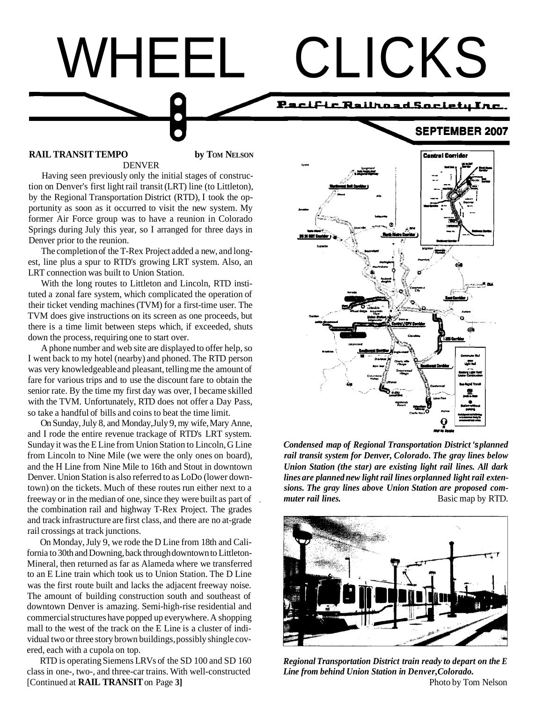# WHEEL CLICKS

## Pacific Railroad Society Inc.

**SEPTEMBER 2007** 

#### **RAIL TRANSIT TEMPO** by TOM NELSON DENVER

Having seen previously only the initial stages of construction on Denver's first light rail transit (LRT) line (to Littleton), by the Regional Transportation District (RTD), I took the opportunity as soon as it occurred to visit the new system. My former Air Force group was to have a reunion in Colorado Springs during July this year, so I arranged for three days in Denver prior to the reunion.

The completion of the T-Rex Project added a new, and longest, line plus a spur to RTD's growing LRT system. Also, an LRT connection was built to Union Station.

With the long routes to Littleton and Lincoln, RTD instituted a zonal fare system, which complicated the operation of their ticket vending machines (TVM) for a first-time user. The TVM does give instructions on its screen as one proceeds, but there is a time limit between steps which, if exceeded, shuts down the process, requiring one to start over.

A phone number and web site are displayed to offer help, so I went back to my hotel (nearby) and phoned. The RTD person was very knowledgeable and pleasant, telling me the amount of fare for various trips and to use the discount fare to obtain the senior rate. By the time my first day was over, I became skilled with the TVM. Unfortunately, RTD does not offer a Day Pass, so take a handful of bills and coins to beat the time limit.

On Sunday, July 8, and Monday, July 9, my wife, Mary Anne, and I rode the entire revenue trackage of RTD's LRT system. Sunday it was the E Line from Union Station to Lincoln, G Line *Condensed map of Regional Transportation District 'splanned*  from Lincoln to Nine Mile (we were the only ones on board), *rail transit system for Denver, Colorado. The gray lines below*  and the H Line from Nine Mile to 16th and Stout in downtown *Union Station (the star) are existing light rail lines. All dark*  Denver. Union Station is also referred to as LoDo (lower down- *lines are planned new light rail lines orplanned light rail exten*town) on the tickets. Much of these routes run either next to a *sions. The gray lines above Union Station are proposed com*freeway or in the median of one, since they were built as part of , *muter rail lines.* Basic map by RTD. the combination rail and highway T-Rex Project. The grades and track infrastructure are first class, and there are no at-grade rail crossings at track junctions.

On Monday, July 9, we rode the D Line from 18th and California to 30th and Downing, back through downtown to Littleton-Mineral, then returned as far as Alameda where we transferred to an E Line train which took us to Union Station. The D Line was the first route built and lacks the adjacent freeway noise. The amount of building construction south and southeast of downtown Denver is amazing. Semi-high-rise residential and commercial structures have popped up everywhere. A shopping mall to the west of the track on the E Line is a cluster of individual two or three story brown buildings, possibly shingle covered, each with a cupola on top.

RTD is operating Siemens LRVs of the SD 100 and SD 160 *Regional Transportation District train ready to depart on the E*  class in one-, two-, and three-car trains. With well-constructed *Line from behind Union Station in Denver,Colorado.*  [Continued at **RAIL TRANSIT** on Page **3]** Photo by Tom Nelson



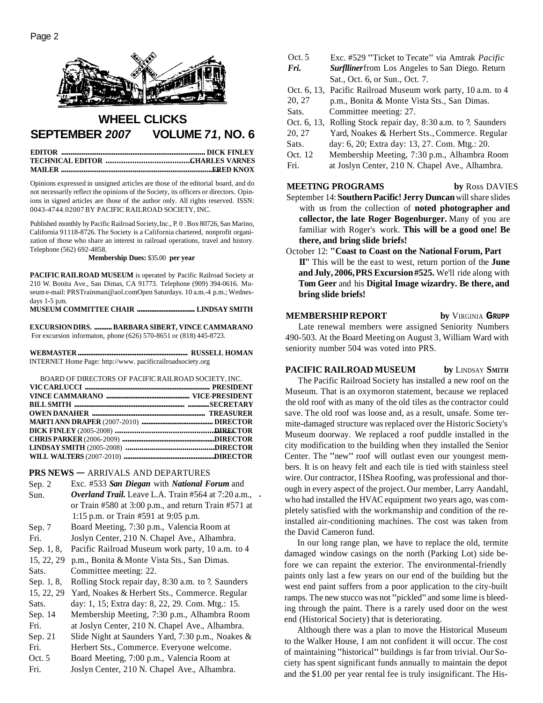

## **WHEEL CLICKS SEPTEMBER 2007 VOLUME 71, NO. 6**

Opinions expressed in unsigned articles are those of the editorial board, and do not necessarily reflect the opinions of the Society, its officers or directors. Opinions in signed articles are those of the author only. All rights reserved. ISSN: 0043-4744.02007 BY PACIFIC RAILROAD SOCIETY, INC.

Published monthly by Pacific Railroad Society, Inc., P. 0. Box 80726, San Marino, California 91 118-8726. The Society is a California chartered, nonprofit organization of those who share an interest in railroad operations, travel and history. Telephone (562) 692-4858.

#### **Membership Dues:** \$35.00 **per year**

**PACIFIC RAILROAD MUSEUM** is operated by Pacific Railroad Society at 210 W. Bonita Ave., San Dimas, CA 91773. Telephone (909) 394-0616. Museum e-mail: PRSTrainman@aol.com Open Saturdays. 10 a.m.-4 p.m.; Wednesdays 1-5 p.m.

**MUSEUM COMMITTEE CHAIR** ................................. **LINDSAY SMITH** 

**EXCURSION DIRS.** .......... **BARBARA SIBERT, VINCE CAMMARANO**  For excursion informaton, phone (626) 570-8651 or (818) 445-8723.

**WEBMASTER** .............................................................. **RUSSELL HOMAN**  INTERNET Home Page: http://www. pacificrailroadsociety.org

BOARD OF DIRECTORS OF PACIFIC RAILROAD SOCIETY, INC.

| BOARD OF DIRECTORS OF PACIFIC RAILROAD SOCIETY. INC. |  |
|------------------------------------------------------|--|
|                                                      |  |
|                                                      |  |
|                                                      |  |
|                                                      |  |
|                                                      |  |
|                                                      |  |
|                                                      |  |
|                                                      |  |
|                                                      |  |
|                                                      |  |

# **PRS NEWS** — ARRIVALS AND DEPARTURES<br>Sep. 2 Exc. #533 San Diegan with National F

- Exc. #533 *San Diegan* with *National Forum* and Sun. *Overland Trail.* Leave L.A. Train #564 at 7:20 a.m., . or Train #580 at 3:00 p.m., and return Train #571 at
- 1:15 p.m. or Train #591 at 9:05 p.m. Sep. 7 Board Meeting, 7:30 p.m., Valencia Room at
- Fri. Joslyn Center, 210 N. Chapel Ave., Alhambra.
- Sep. 1, 8, Pacific Railroad Museum work party, 10 a.m. to 4
- 15, 22, 29 p.m., Bonita & Monte Vista Sts., San Dimas. Sats. Committee meeting: 22.
- Sep. 1, 8, Rolling Stock repair day, 8:30 a.m. to ?, Saunders
- 15, 22, 29 Yard, Noakes & Herbert Sts., Commerce. Regular

Sats. day: 1, 15; Extra day: 8, 22, 29. Com. Mtg.: 15.

- Sep. 14 Membership Meeting, 7:30 p.m., Alhambra Room Fri. at Joslyn Center, 210 N. Chapel Ave., Alhambra.
- Sep. 21 Slide Night at Saunders Yard, 7:30 p.m., Noakes & Fri. Herbert Sts., Commerce. Everyone welcome.
- Oct. 5 Board Meeting, 7:00 p.m., Valencia Room at
- Fri. Joslyn Center, 210 N. Chapel Ave., Alhambra.
- Oct. 5 Exc. #529 "Ticket to Tecate" via Amtrak *Pacific*<br> **Fri.** Surflliner from Los Angeles to San Diego. Return
	- *Surflliner* from Los Angeles to San Diego. Return Sat., Oct. 6, or Sun., Oct. 7.
- Oct. 6, 13, Pacific Railroad Museum work party, 10 a.m. to 4
- 20, 27 p.m., Bonita & Monte Vista Sts., San Dimas.
- Sats. Committee meeting: 27.
- Oct. 6, 13, Rolling Stock repair day, 8:30 a.m. to ?, Saunders
- 20, 27 Yard, Noakes & Herbert Sts., Commerce. Regular
- Sats. day: 6, 20; Extra day: 13, 27. Com. Mtg.: 20.
- Oct. 12 Membership Meeting, 7:30 p.m., Alhambra Room
- Fri. at Joslyn Center, 210 N. Chapel Ave., Alhambra.

#### **MEETING PROGRAMS** by Ross DAVIES

- September 14: **Southern Pacific! Jerry Duncan** will share slides with us from the collection of **noted photographer and collector, the late Roger Bogenburger.** Many of you are familiar with Roger's work. **This will be a good one! Be there, and bring slide briefs!**
- October 12: **"Coast to Coast on the National Forum, Part II"** This will be the east to west, return portion of the **June and July, 2006, PRS Excursion #525.** We'll ride along with **Tom Geer** and his **Digital Image wizardry. Be there, and bring slide briefs!**

## **MEMBERSHIP REPORT by VIRGINIA GRUPP**

Late renewal members were assigned Seniority Numbers 490-503. At the Board Meeting on August 3, William Ward with seniority number 504 was voted into PRS.

#### **PACIFIC RAILROAD MUSEUM** by LINDSAY SMITH

The Pacific Railroad Society has installed a new roof on the Museum. That is an oxymoron statement, because we replaced the old roof with as many of the old tiles as the contractor could save. The old roof was loose and, as a result, unsafe. Some termite-damaged structure was replaced over the Historic Society's Museum doorway. We replaced a roof puddle installed in the city modification to the building when they installed the Senior Center. The "new" roof will outlast even our youngest members. It is on heavy felt and each tile is tied with stainless steel wire. Our contractor, IIShea Roofing, was professional and thorough in every aspect of the project. Our member, Larry Aandahl, who had installed the HVAC equipment two years ago, was completely satisfied with the workmanship and condition of the reinstalled air-conditioning machines. The cost was taken from the David Cameron fund.

In our long range plan, we have to replace the old, termite damaged window casings on the north (Parking Lot) side before we can repaint the exterior. The environmental-friendly paints only last a few years on our end of the building but the west end paint suffers from a poor application to the city-built ramps. The new stucco was not "pickled" and some lime is bleeding through the paint. There is a rarely used door on the west end (Historical Society) that is deteriorating.

Although there was a plan to move the Historical Museum to the Walker House, I am not confident it will occur. The cost of maintaining "historical" buildings is far from trivial. Our Society has spent significant funds annually to maintain the depot and the \$1.00 per year rental fee is truly insignificant. The His-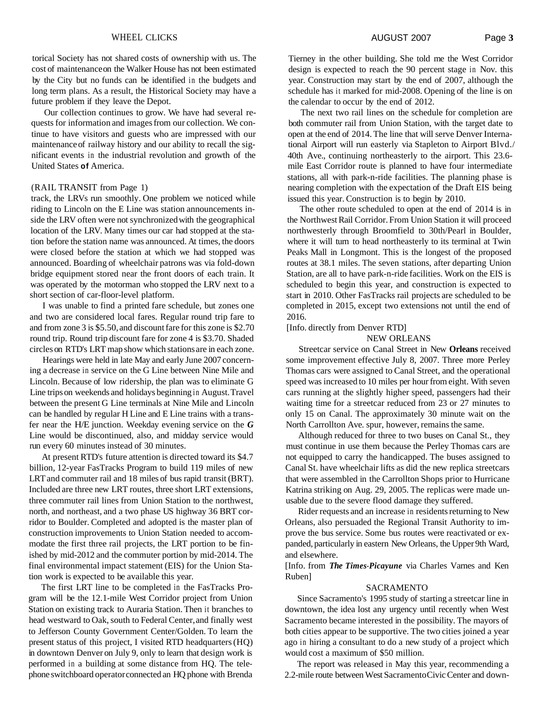#### WHEEL CLICKS **Page 3 Page 3**

torical Society has not shared costs of ownership with us. The cost of maintenance on the Walker House has not been estimated by the City but no funds can be identified in the budgets and long term plans. As a result, the Historical Society may have a future problem if they leave the Depot.

Our collection continues to grow. We have had several requests for information and images from our collection. We continue to have visitors and guests who are impressed with our maintenance of railway history and our ability to recall the significant events in the industrial revolution and growth of the United States **of** America.

#### (RAIL TRANSIT from Page 1)

track, the LRVs run smoothly. One problem we noticed while riding to Lincoln on the E Line was station announcements inside the LRV often were not synchronized with the geographical location of the LRV. Many times our car had stopped at the station before the station name was announced. At times, the doors were closed before the station at which we had stopped was announced. Boarding of wheelchair patrons was via fold-down bridge equipment stored near the front doors of each train. It was operated by the motorman who stopped the LRV next to a short section of car-floor-level platform.

I was unable to find a printed fare schedule, but zones one and two are considered local fares. Regular round trip fare to and from zone 3 is \$5.50, and discount fare for this zone is \$2.70 round trip. Round trip discount fare for zone 4 is \$3.70. Shaded circles on RTD's LRT map show which stations are in each zone.

Hearings were held in late May and early June 2007 concerning a decrease in service on the G Line between Nine Mile and Lincoln. Because of low ridership, the plan was to eliminate G Line trips on weekends and holidays beginning in August. Travel between the present G Line terminals at Nine Mile and Lincoln can be handled by regular H Line and E Line trains with a transfer near the H/E junction. Weekday evening service on the *G*  Line would be discontinued, also, and midday service would run every 60 minutes instead of 30 minutes.

At present RTD's future attention is directed toward its \$4.7 billion, 12-year FasTracks Program to build 119 miles of new LRT and commuter rail and 18 miles of bus rapid transit (BRT). Included are three new LRT routes, three short LRT extensions, three commuter rail lines from Union Station to the northwest, north, and northeast, and a two phase US highway 36 BRT corridor to Boulder. Completed and adopted is the master plan of construction improvements to Union Station needed to accommodate the first three rail projects, the LRT portion to be finished by mid-2012 and the commuter portion by mid-2014. The final environmental impact statement (EIS) for the Union Station work is expected to be available this year.

The first LRT line to be completed in the FasTracks Program will be the 12.1-mile West Corridor project from Union Station on existing track to Auraria Station. Then it branches to head westward to Oak, south to Federal Center, and finally west to Jefferson County Government Center/Golden. To learn the present status of this project, I visited RTD headquarters (HQ) in downtown Denver on July 9, only to learn that design work is performed in a building at some distance from HQ. The telephone switchboard operator connected an HQ phone with Brenda

Tierney in the other building. She told me the West Corridor design is expected to reach the 90 percent stage in Nov. this year. Construction may start by the end of 2007, although the schedule has it marked for mid-2008. Opening of the line is on the calendar to occur by the end of 2012.

The next two rail lines on the schedule for completion are both commuter rail from Union Station, with the target date to open at the end of 2014. The line that will serve Denver International Airport will run easterly via Stapleton to Airport Blvd./ 40th Ave., continuing northeasterly to the airport. This 23.6 mile East Corridor route is planned to have four intermediate stations, all with park-n-ride facilities. The planning phase is nearing completion with the expectation of the Draft EIS being issued this year. Construction is to begin by 2010.

The other route scheduled to open at the end of 2014 is in the Northwest Rail Corridor. From Union Station it will proceed northwesterly through Broomfield to 30th/Pearl in Boulder, where it will turn to head northeasterly to its terminal at Twin Peaks Mall in Longmont. This is the longest of the proposed routes at 38.1 miles. The seven stations, after departing Union Station, are all to have park-n-ride facilities. Work on the EIS is scheduled to begin this year, and construction is expected to start in 2010. Other FasTracks rail projects are scheduled to be completed in 2015, except two extensions not until the end of 2016.

[Info. directly from Denver RTD]

#### NEW ORLEANS

Streetcar service on Canal Street in New **Orleans** received some improvement effective July 8, 2007. Three more Perley Thomas cars were assigned to Canal Street, and the operational speed was increased to 10 miles per hour from eight. With seven cars running at the slightly higher speed, passengers had their waiting time for a streetcar reduced from 23 or 27 minutes to only 15 on Canal. The approximately 30 minute wait on the North Carrollton Ave. spur, however, remains the same.

Although reduced for three to two buses on Canal St., they must continue in use them because the Perley Thomas cars are not equipped to carry the handicapped. The buses assigned to Canal St. have wheelchair lifts as did the new replica streetcars that were assembled in the Carrollton Shops prior to Hurricane Katrina striking on Aug. 29, 2005. The replicas were made unusable due to the severe flood damage they suffered.

Rider requests and an increase in residents returning to New Orleans, also persuaded the Regional Transit Authority to improve the bus service. Some bus routes were reactivated or expanded, particularly in eastern New Orleans, the Upper 9th Ward, and elsewhere.

[Info. from *The Times-Picayune* via Charles Varnes and Ken Ruben]

#### SACRAMENTO

Since Sacramento's 1995 study of starting a streetcar line in downtown, the idea lost any urgency until recently when West Sacramento became interested in the possibility. The mayors of both cities appear to be supportive. The two cities joined a year ago in hiring a consultant to do a new study of a project which would cost a maximum of \$50 million.

The report was released in May this year, recommending a 2.2-mile route between West Sacramento Civic Center and down-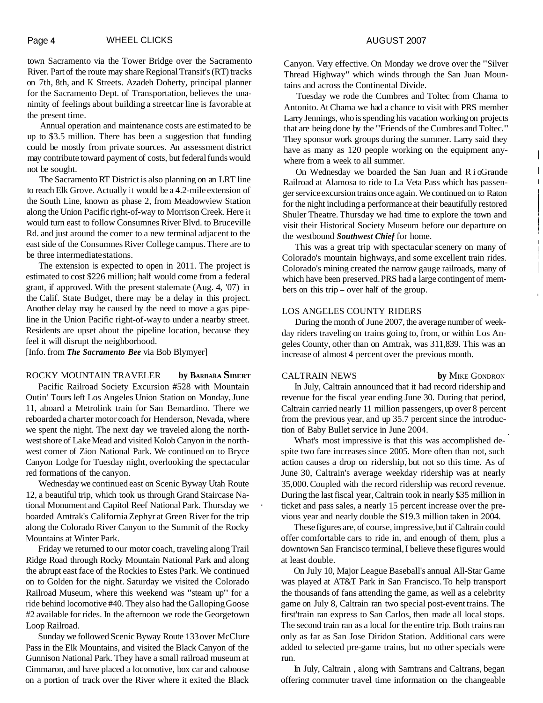town Sacramento via the Tower Bridge over the Sacramento River. Part of the route may share Regional Transit's (RT) tracks on 7th, 8th, and K Streets. Azadeh Doherty, principal planner for the Sacramento Dept. of Transportation, believes the unanimity of feelings about building a streetcar line is favorable at the present time.

Annual operation and maintenance costs are estimated to be up to \$3.5 million. There has been a suggestion that funding could be mostly from private sources. An assessment district may contribute toward payment of costs, but federal funds would not be sought.

The Sacramento RT District is also planning on an LRT line to reach Elk Grove. Actually it would be a 4.2-mile extension of the South Line, known as phase 2, from Meadowview Station along the Union Pacific right-of-way to Morrison Creek. Here it would turn east to follow Consumnes River Blvd. to Bruceville Rd. and just around the comer to a new terminal adjacent to the east side of the Consumnes River College campus. There are to be three intermediate stations.

The extension is expected to open in 2011. The project is estimated to cost \$226 million; half would come from a federal grant, if approved. With the present stalemate (Aug. 4, '07) in the Calif. State Budget, there may be a delay in this project. Another delay may be caused by the need to move a gas pipeline in the Union Pacific right-of-way to under a nearby street. Residents are upset about the pipeline location, because they feel it will disrupt the neighborhood.

[Info. from *The Sacramento Bee* via Bob Blymyer]

## ROCKY MOUNTAIN TRAVELER **by BARBARA SIBERT**

Pacific Railroad Society Excursion #528 with Mountain Outin' Tours left Los Angeles Union Station on Monday, June 11, aboard a Metrolink train for San Bemardino. There we reboarded a charter motor coach for Henderson, Nevada, where we spent the night. The next day we traveled along the northwest shore of Lake Mead and visited Kolob Canyon in the northwest comer of Zion National Park. We continued on to Bryce Canyon Lodge for Tuesday night, overlooking the spectacular red formations of the canyon.

Wednesday we continued east on Scenic Byway Utah Route 12, a beautiful trip, which took us through Grand Staircase National Monument and Capitol Reef National Park. Thursday we . boarded Amtrak's California Zephyr at Green River for the trip along the Colorado River Canyon to the Summit of the Rocky Mountains at Winter Park.

Friday we returned to our motor coach, traveling along Trail Ridge Road through Rocky Mountain National Park and along the abrupt east face of the Rockies to Estes Park. We continued on to Golden for the night. Saturday we visited the Colorado Railroad Museum, where this weekend was "steam up" for a ride behind locomotive #40. They also had the Galloping Goose #2 available for rides. In the afternoon we rode the Georgetown Loop Railroad.

Sunday we followed Scenic Byway Route 133 over McClure Pass in the Elk Mountains, and visited the Black Canyon of the Gunnison National Park. They have a small railroad museum at Cimmaron, and have placed a locomotive, box car and caboose on a portion of track over the River where it exited the Black

Canyon. Very effective. On Monday we drove over the "Silver Thread Highway" which winds through the San Juan Mountains and across the Continental Divide.

Tuesday we rode the Cumbres and Toltec from Chama to Antonito. At Chama we had a chance to visit with PRS member Larry Jennings, who is spending his vacation working on projects that are being done by the "Friends of the Cumbres and Toltec." They sponsor work groups during the summer. Larry said they have as many as 120 people working on the equipment anywhere from a week to all summer.

On Wednesday we boarded the San Juan and RioGrande Railroad at Alamosa to ride to La Veta Pass which has passenger service excursion trains once again. We continued on to Raton for the night including a performance at their beautifully restored Shuler Theatre. Thursday we had time to explore the town and visit their Historical Society Museum before our departure on the westbound *Southwest Chief* for home.

This was a great trip with spectacular scenery on many of Colorado's mountain highways, and some excellent train rides. Colorado's mining created the narrow gauge railroads, many of which have been preserved. PRS had a large contingent of members on this trip – over half of the group.

#### LOS ANGELES COUNTY RIDERS

During the month of June 2007, the average number of weekday riders traveling on trains going to, from, or within Los Angeles County, other than on Amtrak, was 3 11,839. This was an increase of almost 4 percent over the previous month.

CALTRAIN NEWS **by** MIKE GONDRON

In July, Caltrain announced that it had record ridership and revenue for the fiscal year ending June 30. During that period, Caltrain carried nearly 11 million passengers, up over 8 percent from the previous year, and up 35.7 percent since the introduction of Baby Bullet service in June 2004.

What's most impressive is that this was accomplished despite two fare increases since 2005. More often than not, such action causes a drop on ridership, but not so this time. As of June 30, Caltrain's average weekday ridership was at nearly 35,000. Coupled with the record ridership was record revenue. During the last fiscal year, Caltrain took in nearly \$35 million in ticket and pass sales, a nearly 15 percent increase over the previous year and nearly double the \$19.3 million taken in 2004.

These figures are, of course, impressive, but if Caltrain could offer comfortable cars to ride in, and enough of them, plus a downtown San Francisco terminal, I believe these figures would at least double.

On July 10, Major League Baseball's annual All-Star Game was played at AT&T Park in San Francisco. To help transport the thousands of fans attending the game, as well as a celebrity game on July 8, Caltrain ran two special post-event trains. The first'train ran express to San Carlos, then made all local stops. The second train ran as a local for the entire trip. Both trains ran only as far as San Jose Diridon Station. Additional cars were added to selected pre-game trains, but no other specials were run.

In July, Caltrain , along with Samtrans and Caltrans, began offering commuter travel time information on the changeable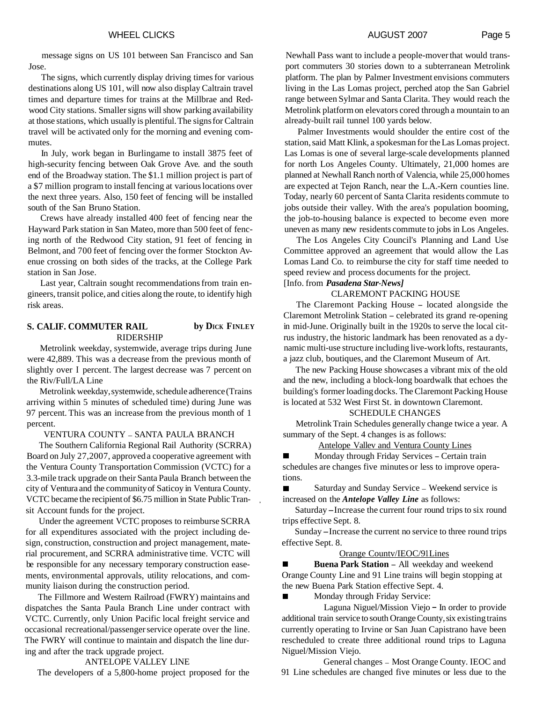message signs on US 101 between San Francisco and San Jose.

The signs, which currently display driving times for various destinations along US 101, will now also display Caltrain travel times and departure times for trains at the Millbrae and Redwood City stations. Smaller signs will show parking availability at those stations, which usually is plentiful. The signs for Caltrain travel will be activated only for the morning and evening commutes.

In July, work began in Burlingame to install 3875 feet of high-security fencing between Oak Grove Ave. and the south end of the Broadway station. The \$1.1 million project is part of a \$7 million program to install fencing at various locations over the next three years. Also, 150 feet of fencing will be installed south of the San Bruno Station.

Crews have already installed 400 feet of fencing near the Hayward Park station in San Mateo, more than 500 feet of fencing north of the Redwood City station, 91 feet of fencing in Belmont, and 700 feet of fencing over the former Stockton Avenue crossing on both sides of the tracks, at the College Park station in San Jose.

Last year, Caltrain sought recommendations from train engineers, transit police, and cities along the route, to identify high risk areas.

#### **S. CALIF. COMMUTER RAIL by DICK FINLEY** RIDERSHIP

Metrolink weekday, systemwide, average trips during June were 42,889. This was a decrease from the previous month of slightly over I percent. The largest decrease was 7 percent on the Riv/Full/LA Line

Metrolink weekday, systemwide, schedule adherence (Trains arriving within 5 minutes of scheduled time) during June was 97 percent. This was an increase from the previous month of 1 percent.

#### VENTURA COUNTY - SANTA PAULA BRANCH

The Southern California Regional Rail Authority (SCRRA) Board on July 27,2007, approved a cooperative agreement with the Ventura County Transportation Commission (VCTC) for a 3.3-mile track upgrade on their Santa Paula Branch between the city of Ventura and the community of Saticoy in Ventura County. VCTC became the recipient of \$6.75 million in State Public Tran- , sit Account funds for the project.

Under the agreement VCTC proposes to reimburse SCRRA for all expenditures associated with the project including design, construction, construction and project management, material procurement, and SCRRA administrative time. VCTC will be responsible for any necessary temporary construction easements, environmental approvals, utility relocations, and community liaison during the construction period.

The Fillmore and Western Railroad (FWRY) maintains and dispatches the Santa Paula Branch Line under contract with VCTC. Currently, only Union Pacific local freight service and occasional recreational/passenger service operate over the line. The FWRY will continue to maintain and dispatch the line during and after the track upgrade project.

#### ANTELOPE VALLEY LlNE

The developers of a 5,800-home project proposed for the

Newhall Pass want to include a people-mover that would transport commuters 30 stories down to a subterranean Metrolink platform. The plan by Palmer Investment envisions commuters living in the Las Lomas project, perched atop the San Gabriel range between Sylmar and Santa Clarita. They would reach the Metrolink platform on elevators cored through a mountain to an already-built rail tunnel 100 yards below.

Palmer Investments would shoulder the entire cost of the station, said Matt Klink, a spokesman for the Las Lomas project. Las Lomas is one of several large-scale developments planned for north Los Angeles County. Ultimately, 21,000 homes are planned at Newhall Ranch north of Valencia, while 25,000 homes are expected at Tejon Ranch, near the L.A.-Kern counties line. Today, nearly 60 percent of Santa Clarita residents commute to jobs outside their valley. With the area's population booming, the job-to-housing balance is expected to become even more uneven as many new residents commute to jobs in Los Angeles.

The Los Angeles City Council's Planning and Land Use Committee approved an agreement that would allow the Las Lomas Land Co. to reimburse the city for staff time needed to speed review and process documents for the project. [Info. from *Pasadena Star-News]* 

## CLAREMONT PACKING HOUSE

The Claremont Packing House - located alongside the Claremont Metrolink Station - celebrated its grand re-opening in mid-June. Originally built in the 1920s to serve the local citrus industry, the historic landmark has been renovated as a dynamic multi-use structure including live-work lofts, restaurants, a jazz club, boutiques, and the Claremont Museum of Art.

The new Packing House showcases a vibrant mix of the old and the new, including a block-long boardwalk that echoes the building's former loading docks. The Claremont Packing House is located at 532 West First St. in downtown Claremont.

#### SCHEDULE CHANGES

Metrolink Train Schedules generally change twice a year. A summary of the Sept. 4 changes is as follows:

#### Antelope Vallev and Ventura County Lines

Monday through Friday Services - Certain train  $\blacksquare$ schedules are changes five minutes or less to improve operations.

Saturday and Sunday Service - Weekend service is  $\blacksquare$ increased on the *Antelope Valley Line* as follows:

Saturday -Increase the current four round trips to six round trips effective Sept. 8.

Sunday -Increase the current no service to three round trips effective Sept. 8.

#### Orange Countv/IEOC/91Lines

 $\blacksquare$ **Buena Park Station - All weekday and weekend** Orange County Line and 91 Line trains will begin stopping at the new Buena Park Station effective Sept. 4.

Monday through Friday Service:

 $\blacksquare$ 

Laguna Niguel/Mission Viejo - In order to provide additional train service to south Orange County, six existing trains currently operating to Irvine or San Juan Capistrano have been rescheduled to create three additional round trips to Laguna Niguel/Mission Viejo.

General changes - Most Orange County. IEOC and 91 Line schedules are changed five minutes or less due to the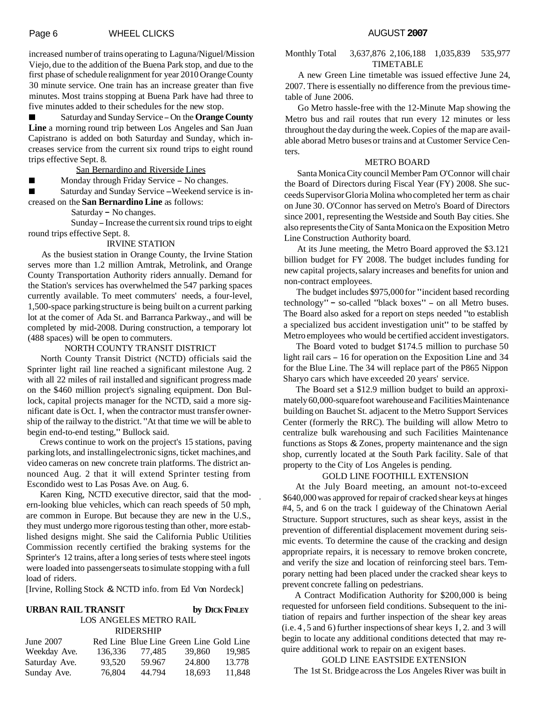increased number of trains operating to Laguna/Niguel/Mission Viejo, due to the addition of the Buena Park stop, and due to the first phase of schedule realignment for year 2010 Orange County 30 minute service. One train has an increase greater than five minutes. Most trains stopping at Buena Park have had three to five minutes added to their schedules for the new stop.

Saturday and Sunday Service - On the **Orange County Line** a morning round trip between Los Angeles and San Juan Capistrano is added on both Saturday and Sunday, which increases service from the current six round trips to eight round trips effective Sept. 8.

San Bernardino and Riverside Lines

Monday through Friday Service - No changes.

Saturday and Sunday Service -Weekend service is in- $\blacksquare$ creased on the **San Bernardino Line** as follows:

Saturday - No changes.

Sunday - Increase the current six round trips to eight round trips effective Sept. 8.

#### IRVINE STATION

As the busiest station in Orange County, the Irvine Station serves more than 1.2 million Amtrak, Metrolink, and Orange County Transportation Authority riders annually. Demand for the Station's services has overwhelmed the 547 parking spaces currently available. To meet commuters' needs, a four-level, 1,500-space parking structure is being built on a current parking lot at the comer of Ada St. and Barranca Parkway., and will be completed by mid-2008. During construction, a temporary lot (488 spaces) will be open to commuters.

#### NORTH COUNTY TRANSIT DISTRICT

North County Transit District (NCTD) officials said the Sprinter light rail line reached a significant milestone Aug. 2 with all 22 miles of rail installed and significant progress made on the \$460 million project's signaling equipment. Don Bullock, capital projects manager for the NCTD, said a more significant date is Oct. I, when the contractor must transfer ownership of the railway to the district. "At that time we will be able to begin end-to-end testing," Bullock said.

Crews continue to work on the project's 15 stations, paving parking lots, and installing electronic signs, ticket machines, and video cameras on new concrete train platforms. The district announced Aug. 2 that it will extend Sprinter testing from Escondido west to Las Posas Ave. on Aug. 6.

Karen King, NCTD executive director, said that the modern-looking blue vehicles, which can reach speeds of 50 mph, ' are common in Europe. But because they are new in the U.S., they must undergo more rigorous testing than other, more established designs might. She said the California Public Utilities Commission recently certified the braking systems for the Sprinter's 12 trains, after a long series of tests where steel ingots were loaded into passenger seats to simulate stopping with a full load of riders.

[Irvine, Rolling Stock & NCTD info. from Ed Von Nordeck]

### **URBAN RAIL TRANSIT by DICK FINLEY** LOS ANGELES METRO RAIL

RIDERSHIP

| June 2007     |         |        | Red Line Blue Line Green Line Gold Line |        |
|---------------|---------|--------|-----------------------------------------|--------|
| Weekday Ave.  | 136.336 | 77.485 | 39,860                                  | 19.985 |
| Saturday Ave. | 93.520  | 59.967 | 24.800                                  | 13.778 |
| Sunday Ave.   | 76,804  | 44.794 | 18.693                                  | 11.848 |

#### Monthly Total 3,637,876 2,106,188 1,035,839 535,977 TIMETABLE

A new Green Line timetable was issued effective June 24, 2007. There is essentially no difference from the previous timetable of June 2006.

Go Metro hassle-free with the 12-Minute Map showing the Metro bus and rail routes that run every 12 minutes or less throughout the day during the week. Copies of the map are available aborad Metro buses or trains and at Customer Service Centers.

#### METRO BOARD

Santa Monica City council Member Pam O'Connor will chair the Board of Directors during Fiscal Year (FY) 2008. She succeeds Supervisor Gloria Molina who completed her term as chair on June 30. O'Connor has served on Metro's Board of Directors since 2001, representing the Westside and South Bay cities. She also represents the City of Santa Monica on the Exposition Metro Line Construction Authority board.

At its June meeting, the Metro Board approved the \$3.121 billion budget for FY 2008. The budget includes funding for new capital projects, salary increases and benefits for union and non-contract employees.

The budget includes \$975,000 for "incident based recording technology" - so-called "black boxes" - on all Metro buses. The Board also asked for a report on steps needed "to establish a specialized bus accident investigation unit" to be staffed by Metro employees who would be certified accident investigators.

The Board voted to budget \$174.5 million to purchase 50 light rail cars - 16 for operation on the Exposition Line and 34 for the Blue Line. The 34 will replace part of the P865 Nippon Sharyo cars which have exceeded 20 years' service.

The Board set a \$12.9 million budget to build an approximately 60,000-square foot warehouse and Facilities Maintenance building on Bauchet St. adjacent to the Metro Support Services Center (formerly the RRC). The building will allow Metro to centralize bulk warehousing and such Facilities Maintenance functions as Stops & Zones, property maintenance and the sign shop, currently located at the South Park facility. Sale of that property to the City of Los Angeles is pending.

#### GOLD LINE FOOTHILL EXTENSION

At the July Board meeting, an amount not-to-exceed \$640,000 was approved for repair of cracked shear keys at hinges #4, 5, and 6 on the track I guideway of the Chinatown Aerial Structure. Support structures, such as shear keys, assist in the prevention of differential displacement movement during seismic events. To determine the cause of the cracking and design appropriate repairs, it is necessary to remove broken concrete, and verify the size and location of reinforcing steel bars. Temporary netting had been placed under the cracked shear keys to prevent concrete falling on pedestrians.

A Contract Modification Authority for \$200,000 is being requested for unforseen field conditions. Subsequent to the initiation of repairs and further inspection of the shear key areas (i.e. 4,5 and 6) further inspections of shear keys I, 2. and 3 will begin to locate any additional conditions detected that may require additional work to repair on an exigent bases.

#### GOLD LINE EASTSIDE EXTENSION

The 1st St. Bridge across the Los Angeles River was built in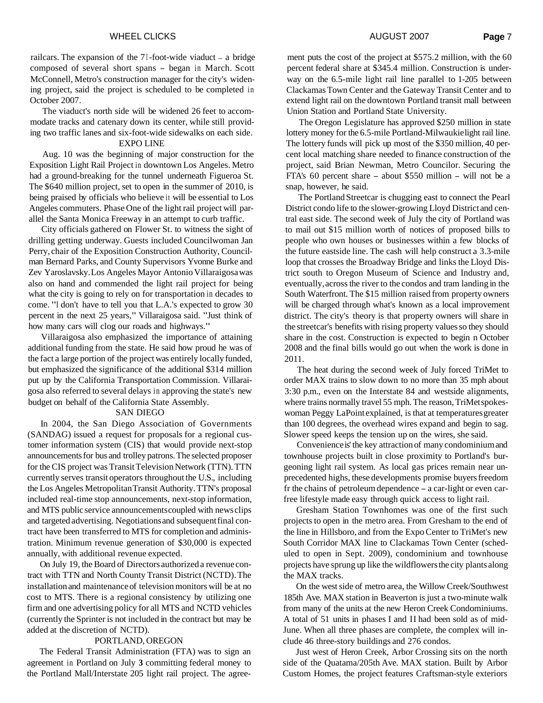railcars. The expansion of the  $7$  I-foot-wide viaduct  $-$  a bridge composed of several short spans - began in March. Scott McConnell, Metro's construction manager for the city's widening project, said the project is scheduled to be completed in October 2007.

The viaduct's north side will be widened 26 feet to accommodate tracks and catenary down its center, while still providing two traffic lanes and six-foot-wide sidewalks on each side. EXPO LINE

Aug. 10 was the beginning of major construction for the Exposition Light Rail Project in downtown Los Angeles. Metro had a ground-breaking for the tunnel underneath Figueroa St. The \$640 million project, set to open in the summer of 2010, is being praised by officials who believe it will be essential to Los Angeles commuters. Phase One of the light rail project will parallel the Santa Monica Freeway in an attempt to curb traffic.

City officials gathered on Flower St. to witness the sight of drilling getting underway. Guests included Councilwoman Jan Perry, chair of the Exposition Construction Authority, Councilman Bernard Parks, and County Supervisors Yvonne Burke and Zev Yaroslavsky. Los Angeles Mayor Antonio Villaraigosa was also on hand and commended the light rail project for being what the city is going to rely on for transportation in decades to come. "I don't have to tell you that L.A.'s expected to grow 30 percent in the next 25 years," Villaraigosa said. "Just think of how many cars will clog our roads and highways."

Villaraigosa also emphasized the importance of attaining additional funding from the state. He said how proud he was of the fact a large portion of the project was entirely locally funded, but emphasized the significance of the additional \$314 million put up by the California Transportation Commission. Villaraigosa also referred to several delays in approving the state's new budget on behalf of the California State Assembly.

#### SAN DIEGO

In 2004, the San Diego Association of Governments (SANDAG) issued a request for proposals for a regional customer information system (CIS) that would provide next-stop announcements for bus and trolley patrons. The selected proposer for the CIS project was Transit Television Network (TTN). TTN currently serves transit operators throughout the U.S., including the Los Angeles Metropolitan Transit Authority. TTN's proposal included real-time stop announcements, next-stop information, and MTS public service announcements coupled with news clips and targeted advertising. Negotiations and subsequent final contract have been transferred to MTS for completion and administration. Minimum revenue generation of \$30,000 is expected annually, with additional revenue expected.

On July 19, the Board of Directors authorized a revenue contract with TTN and North County Transit District (NCTD). The installation and maintenance of television monitors will be at no cost to MTS. There is a regional consistency by utilizing one firm and one advertising policy for all MTS and NCTD vehicles (currently the Sprinter is not included in the contract but may be added at the discretion of NCTD).

#### PORTLAND, OREGON

The Federal Transit Administration (FTA) was to sign an agreement in Portland on July **3** committing federal money to the Portland Mall/Interstate 205 light rail project. The agree-

ment puts the cost of the project at \$575.2 million, with the 60 percent federal share at \$345.4 million. Construction is underway on the 6.5-mile light rail line parallel to 1-205 between Clackamas Town Center and the Gateway Transit Center and to extend light rail on the downtown Portland transit mall between Union Station and Portland State University.

The Oregon Legislature has approved \$250 million in state lottery money for the 6.5-mile Portland-Milwaukie light rail line. The lottery funds will pick up most of the \$350 million, 40 percent local matching share needed to finance construction of the project, said Brian Newman, Metro Councilor. Securing the FTA's 60 percent share - about \$550 million - will not be a snap, however, he said.

The Portland Streetcar is chugging east to connect the Pearl District condo life to the slower-growing Lloyd District and central east side. The second week of July the city of Portland was to mail out \$15 million worth of notices of proposed bills to people who own houses or businesses within a few blocks of the future eastside line. The cash will help construct a 3.3-mile loop that crosses the Broadway Bridge and links the Lloyd District south to Oregon Museum of Science and Industry and, eventually, across the river to the condos and tram landing in the South Waterfront. The \$15 million raised from property owners will be charged through what's known as a local improvement district. The city's theory is that property owners will share in the streetcar's benefits with rising property values so they should share in the cost. Construction is expected to begin n October 2008 and the final bills would go out when the work is done in 2011.

The heat during the second week of July forced TriMet to order MAX trains to slow down to no more than 35 mph about 3:30 p.m., even on the Interstate 84 and westside alignments, where trains normally travel 55 mph. The reason, TriMet spokeswoman Peggy LaPoint explained, is that at temperatures greater than 100 degrees, the overhead wires expand and begin to sag. Slower speed keeps the tension up on the wires, she said.

Convenience is' the key attraction of many condominium and townhouse projects built in close proximity to Portland's burgeoning light rail system. As local gas prices remain near unprecedented highs, these developments promise buyers freedom fr the chains of petroleum dependence – a car-light or even carfree lifestyle made easy through quick access to light rail.

Gresham Station Townhomes was one of the first such projects to open in the metro area. From Gresham to the end of the line in Hillsboro, and from the Expo Center to TriMet's new South Corridor MAX line to Clackamas Town Center (scheduled to open in Sept. 2009), condominium and townhouse projects have sprung up like the wildflowers the city plants along the MAX tracks.

On the west side of metro area, the Willow Creek/Southwest 185th Ave. MAX station in Beaverton is just a two-minute walk from many of the units at the new Heron Creek Condominiums. A total of 51 units in phases I and II had been sold as of mid-June. When all three phases are complete, the complex will include 46 three-story buildings and 276 condos.

Just west of Heron Creek, Arbor Crossing sits on the north side of the Quatama/205th Ave. MAX station. Built by Arbor Custom Homes, the project features Craftsman-style exteriors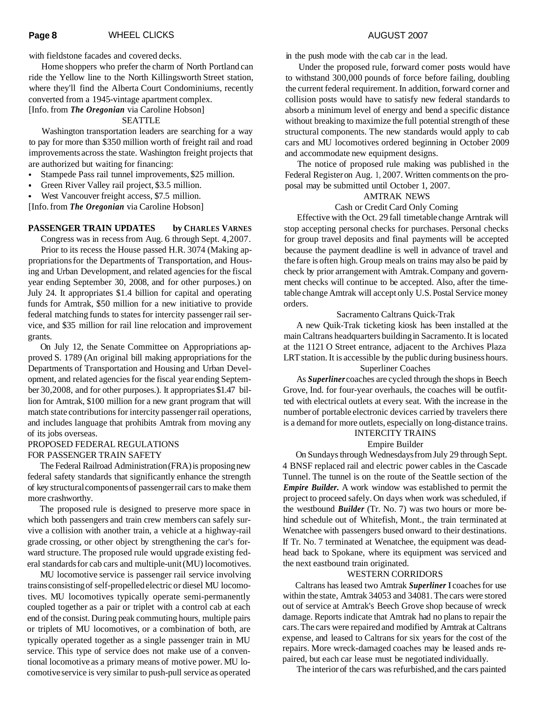with fieldstone facades and covered decks.

Home shoppers who prefer the charm of North Portland can ride the Yellow line to the North Killingsworth Street station, where they'll find the Alberta Court Condominiums, recently converted from a 1945-vintage apartment complex. [Info. from *The Oregonian* via Caroline Hobson]

#### SEATTLE

Washington transportation leaders are searching for a way to pay for more than \$350 million worth of freight rail and road improvements across the state. Washington freight projects that are authorized but waiting for financing:

- Stampede Pass rail tunnel improvements, \$25 million.  $\bullet$
- Green River Valley rail project, \$3.5 million.
- West Vancouver freight access, \$7.5 million.

[Info. from *The Oregonian* via Caroline Hobson]

#### PASSENGER TRAIN UPDATES by CHARLES VARNES

Congress was in recess from Aug. 6 through Sept. 4,2007.

Prior to its recess the House passed H.R. 3074 (Making appropriations for the Departments of Transportation, and Housing and Urban Development, and related agencies for the fiscal year ending September 30, 2008, and for other purposes.) on July 24. It appropriates \$1.4 billion for capital and operating funds for Amtrak, \$50 million for a new initiative to provide federal matching funds to states for intercity passenger rail service, and \$35 million for rail line relocation and improvement grants.

On July 12, the Senate Committee on Appropriations approved S. 1789 (An original bill making appropriations for the Departments of Transportation and Housing and Urban Development, and related agencies for the fiscal year ending September 30,2008, and for other purposes.). It appropriates \$1.47 billion for Amtrak, \$100 million for a new grant program that will match state contributions for intercity passenger rail operations, and includes language that prohibits Amtrak from moving any of its jobs overseas.

#### PROPOSED FEDERAL REGULATIONS

#### FOR PASSENGER TRAIN SAFETY

The Federal Railroad Administration (FRA) is proposing new federal safety standards that significantly enhance the strength of key structural components of passenger rail cars to make them more crashworthy.

The proposed rule is designed to preserve more space in which both passengers and train crew members can safely survive a collision with another train, a vehicle at a highway-rail grade crossing, or other object by strengthening the car's forward structure. The proposed rule would upgrade existing federal standards for cab cars and multiple-unit (MU) locomotives.

MU locomotive service is passenger rail service involving trains consisting of self-propelled electric or diesel MU locomotives. MU locomotives typically operate semi-permanently coupled together as a pair or triplet with a control cab at each end of the consist. During peak commuting hours, multiple pairs or triplets of MU locomotives, or a combination of both, are typically operated together as a single passenger train in MU service. This type of service does not make use of a conventional locomotive as a primary means of motive power. MU locomotive service is very similar to push-pull service as operated

in the push mode with the cab car in the lead.

Under the proposed rule, forward comer posts would have to withstand 300,000 pounds of force before failing, doubling the current federal requirement. In addition, forward corner and collision posts would have to satisfy new federal standards to absorb a minimum level of energy and bend a specific distance without breaking to maximize the full potential strength of these structural components. The new standards would apply to cab cars and MU locomotives ordered beginning in October 2009 and accommodate new equipment designs.

The notice of proposed rule making was published in the Federal Register on Aug. 1, 2007. Written comments on the proposal may be submitted until October 1, 2007.

#### AMTRAK NEWS

#### Cash or Credit Card Only Coming

Effective with the Oct. 29 fall timetable change Arntrak will stop accepting personal checks for purchases. Personal checks for group travel deposits and final payments will be accepted because the payment deadline is well in advance of travel and the fare is often high. Group meals on trains may also be paid by check by prior arrangement with Amtrak. Company and government checks will continue to be accepted. Also, after the timetable change Amtrak will accept only U.S. Postal Service money orders.

#### Sacramento Caltrans Quick-Trak

A new Quik-Trak ticketing kiosk has been installed at the main Caltrans headquarters building in Sacramento. It is located at the 1121 O Street entrance, adjacent to the Archives Plaza LRT station. It is accessible by the public during business hours.

#### Superliner Coaches

As *Superliner* coaches are cycled through the shops in Beech Grove, Ind. for four-year overhauls, the coaches will be outfitted with electrical outlets at every seat. With the increase in the number of portable electronic devices carried by travelers there is a demand for more outlets, especially on long-distance trains.

#### INTERCITY TRAINS

#### Empire Builder

On Sundays through Wednesdays from July 29 through Sept. 4 BNSF replaced rail and electric power cables in the Cascade Tunnel. The tunnel is on the route of the Seattle section of the *Empire Builder.* A work window was established to permit the project to proceed safely. On days when work was scheduled, if the westbound *Builder* (Tr. No. 7) was two hours or more behind schedule out of Whitefish, Mont., the train terminated at Wenatchee with passengers bused onward to their destinations. If Tr. No. 7 terminated at Wenatchee, the equipment was deadhead back to Spokane, where its equipment was serviced and the next eastbound train originated.

#### WESTERN CORRIDORS

Caltrans has leased two Amtrak *Superliner* I coaches for use within the state, Amtrak 34053 and 34081. The cars were stored out of service at Amtrak's Beech Grove shop because of wreck damage. Reports indicate that Amtrak had no plans to repair the cars. The cars were repaired and modified by Arntrak at Caltrans expense, and leased to Caltrans for six years for the cost of the repairs. More wreck-damaged coaches may be leased ands repaired, but each car lease must be negotiated individually.

The interior of the cars was refurbished, and the cars painted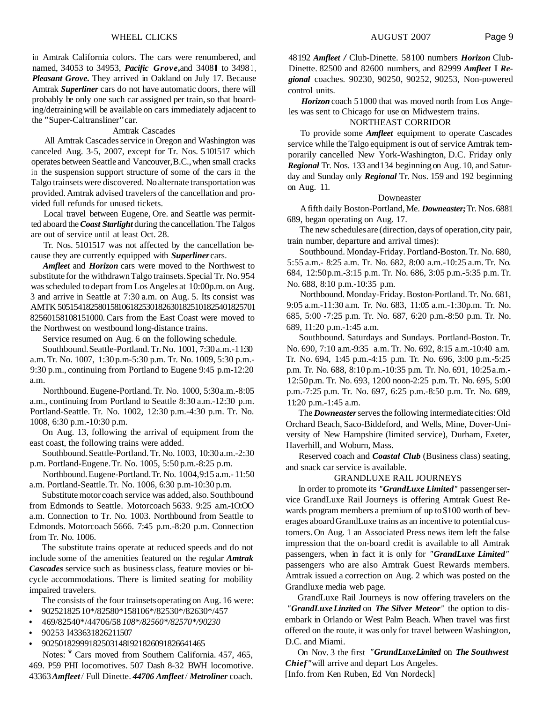in Amtrak California colors. The cars were renumbered, and named, 34053 to 34953, *Pacific Grove*, and 34081 to 34981, *Pleasant Grove.* They arrived in Oakland on July 17. Because Amtrak *Superliner* cars do not have automatic doors, there will probably be only one such car assigned per train, so that boarding/detraining will be available on cars immediately adjacent to the "Super-Caltransliner" car.

#### Amtrak Cascades

All Amtrak Cascades service in Oregon and Washington was canceled Aug. 3-5, 2007, except for Tr. Nos. 5101517 which operates between Seattle and Vancouver, B.C., when small cracks in the suspension support structure of some of the cars in the Talgo trainsets were discovered. No alternate transportation was provided. Amtrak advised travelers of the cancellation and provided full refunds for unused tickets.

Local travel between Eugene, Ore. and Seattle was permitted aboard the *Coast Starlight* during the cancellation. The Talgos are out of service until at least Oct. 28.

Tr. Nos. 5101517 was not affected by the cancellation because they are currently equipped with *Superliner* cars.

*Amfleet* and *Horizon* cars were moved to the Northwest to substitute for the withdrawn Talgo trainsets. Special Tr. No. 954 was scheduled to depart from Los Angeles at 10:00p.m. on Aug. 3 and arrive in Seattle at 7:30 a.m. on Aug. 5. Its consist was AMTK 505154182580158 1061825301826301825 101825401825701 82560158108151000. Cars from the East Coast were moved to the Northwest on westbound long-distance trains.

Service resumed on Aug. 6 on the following schedule.

Southbound. Seattle-Portland. Tr. No. 1001, 7:30 a.m.-1 1:30 a.m. Tr. No. 1007, 1:30 p.m-5:30 p.m. Tr. No. 1009, 5:30 p.m.- 9:30 p.m., continuing from Portland to Eugene 9:45 p.m-12:20 a.m.

Northbound. Eugene-Portland. Tr. No. 1000, 5:30 a.m.-8:05 a.m., continuing from Portland to Seattle 8:30 a.m.-12:30 p.m. Portland-Seattle. Tr. No. 1002, 12:30 p.m.-4:30 p.m. Tr. No. 1008, 6:30 p.m.-10:30 p.m.

On Aug. 13, following the arrival of equipment from the east coast, the following trains were added.

Southbound. Seattle-Portland. Tr. No. 1003, 10:30 a.m.-2:30 p.m. Portland-Eugene. Tr. No. 1005, 5:50 p.m.-8:25 p.m.

Northbound. Eugene-Portland. Tr. No. 1004, 9:15 a.m. - 11:50 a.m. Portland-Seattle. Tr. No. 1006, 6:30 p.m-10:30 p.m.

Substitute motor coach service was added, also. Southbound from Edmonds to Seattle. Motorcoach 5633. 9:25 a.m.-1O:OO a.m. Connection to Tr. No. 1003. Northbound from Seattle to Edmonds. Motorcoach 5666. 7:45 p.m.-8:20 p.m. Connection from Tr. No. 1006.

The substitute trains operate at reduced speeds and do not include some of the amenities featured on the regular *Amtrak Cascades* service such as business class, feature movies or bicycle accommodations. There is limited seating for mobility impaired travelers.

The consists of the four trainsets operating on Aug. 16 were:

- 902521825 10\*/82580\*158 106\*/82530\*/82630\*/457
- 469/82540\*/44706/58 *108\*/82560\*/82570\*/90230*
- 90253 I4336318262 11507
- $\bullet$ 902501829991825031481921826091826641465

Notes: \* Cars moved from Southern California. 457, 465, 469. P59 PHI locomotives. 507 Dash 8-32 BWH locomotive. 43363 *Amfleet /* Full Dinette. *44706 Amfleet / Metroliner* coach.

48 192 *Amfleet /* Club-Dinette. 58 100 numbers *Horizon* Club-Dinette. 82500 and 82600 numbers, and 82999 *Amfleet* I *Regional* coaches. 90230, 90250, 90252, 90253, Non-powered control units.

*Horizon* coach 5 1000 that was moved north from Los Angeles was sent to Chicago for use on Midwestern trains.

#### NORTHEAST CORRIDOR

To provide some *Amfleet* equipment to operate Cascades service while the Talgo equipment is out of service Amtrak temporarily cancelled New York-Washington, D.C. Friday only *Regional* Tr. Nos. 133 and 134 beginning on Aug. 10, and Saturday and Sunday only *Regional* Tr. Nos. 159 and 192 beginning on Aug. 11.

#### Downeaster

A fifth daily Boston-Portland, Me. *Downeaster;* Tr. Nos. 6881 689, began operating on Aug. 17.

The new schedules are (direction, days of operation, city pair, train number, departure and arrival times):

Southbound. Monday-Friday. Portland-Boston. Tr. No. 680, 5:55 a.m.- 8:25 a.m. Tr. No. 682, 8:00 a.m.-10:25 a.m. Tr. No. 684, 12:50 p.m.-3: 15 p.m. Tr. No. 686, 3:05 p.m.-5:35 p.m. Tr. No. 688, 8:10 p.m.-10:35 p.m.

Northbound. Monday-Friday. Boston-Portland. Tr. No. 68 1, 9:05 a.m.-11:30 a.m. Tr. No. 683, 11:05 a.m.-1:30p.m. Tr. No. 685, 5:00 -7:25 p.m. Tr. No. 687, 6:20 p.m.-8:50 p.m. Tr. No. 689, 11 :20 p.m.-1 :45 a.m.

Southbound. Saturdays and Sundays. Portland-Boston. Tr. No. 690, 7:10 a.m.-9:35 a.m. Tr. No. 692, 8:15 a.m.-10:40 a.m. Tr. No. 694, 1:45 p.m.-4:15 p.m. Tr. No. 696, 3:00 p.m.-5:25 p.m. Tr. No. 688, 8:10 p.m.-10:35 p.m. Tr. No. 691, 10:25 a.m.- 12:50 p.m. Tr. No. 693, 1200 noon-2:25 p.m. Tr. No. 695, 5:00 p.m.-7:25 p.m. Tr. No. 697, 6:25 p.m.-8:50 p.m. Tr. No. 689, 11:20 p.m.-1:45 a.m.

The *Downeaster* serves the following intermediate cities: Old Orchard Beach, Saco-Biddeford, and Wells, Mine, Dover-University of New Hampshire (limited service), Durham, Exeter, Haverhill, and Woburn, Mass.

Reserved coach and *Coastal Club* (Business class) seating, and snack car service is available.

#### GRANDLUXE RAIL JOURNEYS

In order to promote its *"GrandLuxe Limited"* passenger service GrandLuxe Rail Journeys is offering Amtrak Guest Rewards program members a premium of up to \$100 worth of beverages aboard GrandLuxe trains as an incentive to potential customers. On Aug. 1 an Associated Press news item left the false impression that the on-board credit is available to all Amtrak passengers, when in fact it is only for *"GrandLuxe Limited"*  passengers who are also Amtrak Guest Rewards members. Amtrak issued a correction on Aug. 2 which was posted on the Grandluxe media web page.

GrandLuxe Rail Journeys is now offering travelers on the *"GrandLuxe Linzited* on *The Silver Meteor"* the option to disembark in Orlando or West Palm Beach. When travel was first offered on the route, it was only for travel between Washington, D.C. and Miami.

On Nov. 3 the first *"GrundLuxe Limited* on *The Southwest Chief"*will arrive and depart Los Angeles. [Info. from Ken Ruben, Ed Von Nordeck]